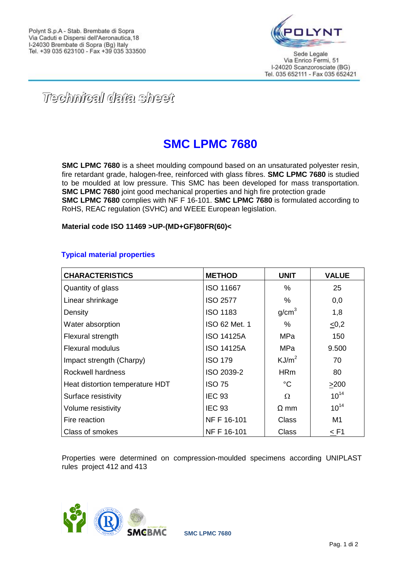

*Technical data sheet*

## **SMC LPMC 7680**

**SMC LPMC 7680** is a sheet moulding compound based on an unsaturated polyester resin, fire retardant grade, halogen-free, reinforced with glass fibres. **SMC LPMC 7680** is studied to be moulded at low pressure. This SMC has been developed for mass transportation. **SMC LPMC 7680** joint good mechanical properties and high fire protection grade **SMC LPMC 7680** complies with NF F 16-101. **SMC LPMC 7680** is formulated according to RoHS, REAC regulation (SVHC) and WEEE European legislation.

**Material code ISO 11469 >UP-(MD+GF)80FR(60)<**

## **Typical material properties**

| <b>CHARACTERISTICS</b>          | <b>METHOD</b>     | <b>UNIT</b>       | <b>VALUE</b> |
|---------------------------------|-------------------|-------------------|--------------|
| Quantity of glass               | <b>ISO 11667</b>  | ℅                 | 25           |
| Linear shrinkage                | <b>ISO 2577</b>   | %                 | 0,0          |
| Density                         | <b>ISO 1183</b>   | g/cm <sup>3</sup> | 1,8          |
| Water absorption                | ISO 62 Met. 1     | $\%$              | $\leq 0,2$   |
| Flexural strength               | <b>ISO 14125A</b> | <b>MPa</b>        | 150          |
| <b>Flexural modulus</b>         | <b>ISO 14125A</b> | MPa               | 9.500        |
| Impact strength (Charpy)        | <b>ISO 179</b>    | KJ/m <sup>2</sup> | 70           |
| Rockwell hardness               | ISO 2039-2        | <b>HRm</b>        | 80           |
| Heat distortion temperature HDT | <b>ISO 75</b>     | $^{\circ}C$       | >200         |
| Surface resistivity             | <b>IEC 93</b>     | Ω                 | $10^{14}$    |
| Volume resistivity              | <b>IEC 93</b>     | $\Omega$ mm       | $10^{14}$    |
| Fire reaction                   | NF F 16-101       | <b>Class</b>      | M1           |
| Class of smokes                 | NF F 16-101       | <b>Class</b>      | $<$ F1       |

Properties were determined on compression-moulded specimens according UNIPLAST rules project 412 and 413